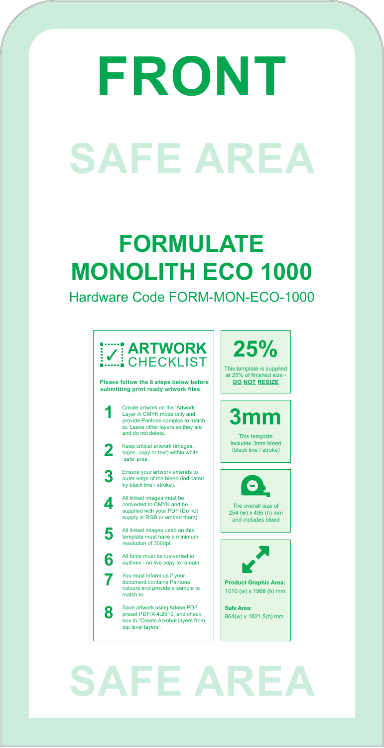### **FORMULATE MONOLITH ECO 1000**

Hardware Code FORM-MON-ECO-1000

## **SAFE AREA**

**25%**

This template is supplied at 25% of finished size - **DO NOT RESIZE**

The overall size of 254 (w) x 495 (h) mm and includes bleed



**Product Graphic Area:**  1010 (w) x 1968 (h) mm

**Safe Area:**  864(w) x 1821.5(h) mm

All linked images must be converted to CMYK and be supplied with your PDF (Do not supply in RGB or embed them).

# **FRONT SAFE AREA**



outer edge of the bleed (indicated by black line / stroke).

All linked images used on this template must have a minimum resolution of 300dpi.

All fonts must be converted to outlines - no live copy to remain.

You must inform us if your document contains Pantone colours and provide a sample to match to.

Save artwork using Adobe PDF preset PDF/X-4:2010, and check box to "Create Acrobat layers from top level layers".

**4**

**5**

**6**

**7**

**8**